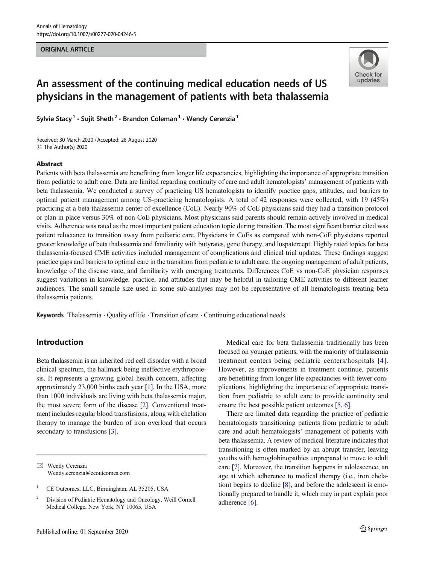#### ORIGINAL ARTICLE



# An assessment of the continuing medical education needs of US physicians in the management of patients with beta thalassemia

Sylvie Stacy<sup>1</sup> · Sujit Sheth<sup>2</sup> · Brandon Coleman<sup>1</sup> · Wendy Cerenzia<sup>1</sup>

Received: 30 March 2020 /Accepted: 28 August 2020 C The Author(s) 2020

## Abstract

Patients with beta thalassemia are benefitting from longer life expectancies, highlighting the importance of appropriate transition from pediatric to adult care. Data are limited regarding continuity of care and adult hematologists' management of patients with beta thalassemia. We conducted a survey of practicing US hematologists to identify practice gaps, attitudes, and barriers to optimal patient management among US-practicing hematologists. A total of 42 responses were collected, with 19 (45%) practicing at a beta thalassemia center of excellence (CoE). Nearly 90% of CoE physicians said they had a transition protocol or plan in place versus 30% of non-CoE physicians. Most physicians said parents should remain actively involved in medical visits. Adherence was rated as the most important patient education topic during transition. The most significant barrier cited was patient reluctance to transition away from pediatric care. Physicians in CoEs as compared with non-CoE physicians reported greater knowledge of beta thalassemia and familiarity with butyrates, gene therapy, and luspatercept. Highly rated topics for beta thalassemia-focused CME activities included management of complications and clinical trial updates. These findings suggest practice gaps and barriers to optimal care in the transition from pediatric to adult care, the ongoing management of adult patients, knowledge of the disease state, and familiarity with emerging treatments. Differences CoE vs non-CoE physician responses suggest variations in knowledge, practice, and attitudes that may be helpful in tailoring CME activities to different learner audiences. The small sample size used in some sub-analyses may not be representative of all hematologists treating beta thalassemia patients.

Keywords Thalassemia  $\cdot$  Quality of life  $\cdot$  Transition of care  $\cdot$  Continuing educational needs

# Introduction

Beta thalassemia is an inherited red cell disorder with a broad clinical spectrum, the hallmark being ineffective erythropoiesis. It represents a growing global health concern, affecting approximately 23,000 births each year [\[1](#page-7-0)]. In the USA, more than 1000 individuals are living with beta thalassemia major, the most severe form of the disease [[2](#page-7-0)]. Conventional treatment includes regular blood transfusions, along with chelation therapy to manage the burden of iron overload that occurs secondary to transfusions [[3](#page-7-0)].

Medical care for beta thalassemia traditionally has been focused on younger patients, with the majority of thalassemia treatment centers being pediatric centers/hospitals [[4](#page-7-0)]. However, as improvements in treatment continue, patients are benefitting from longer life expectancies with fewer complications, highlighting the importance of appropriate transition from pediatric to adult care to provide continuity and ensure the best possible patient outcomes [[5,](#page-7-0) [6\]](#page-7-0).

There are limited data regarding the practice of pediatric hematologists transitioning patients from pediatric to adult care and adult hematologists' management of patients with beta thalassemia. A review of medical literature indicates that transitioning is often marked by an abrupt transfer, leaving youths with hemoglobinopathies unprepared to move to adult care [\[7\]](#page-7-0). Moreover, the transition happens in adolescence, an age at which adherence to medical therapy (i.e., iron chelation) begins to decline [\[8](#page-7-0)], and before the adolescent is emotionally prepared to handle it, which may in part explain poor adherence [\[6\]](#page-7-0).

 $\boxtimes$  Wendy Cerenzia [Wendy.cerenzia@ceoutcomes.com](mailto:Wendy.cerenzia@ceoutcomes.com)

<sup>&</sup>lt;sup>1</sup> CE Outcomes, LLC, Birmingham, AL 35205, USA

<sup>2</sup> Division of Pediatric Hematology and Oncology, Weill Cornell Medical College, New York, NY 10065, USA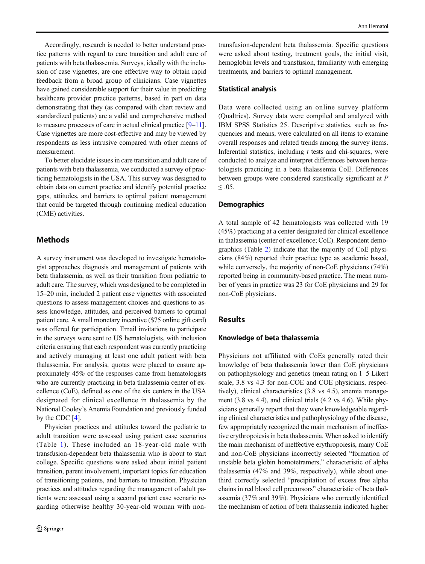Accordingly, research is needed to better understand practice patterns with regard to care transition and adult care of patients with beta thalassemia. Surveys, ideally with the inclusion of case vignettes, are one effective way to obtain rapid feedback from a broad group of clinicians. Case vignettes have gained considerable support for their value in predicting healthcare provider practice patterns, based in part on data demonstrating that they (as compared with chart review and standardized patients) are a valid and comprehensive method to measure processes of care in actual clinical practice [\[9](#page-7-0)–[11\]](#page-7-0). Case vignettes are more cost-effective and may be viewed by respondents as less intrusive compared with other means of measurement.

To better elucidate issues in care transition and adult care of patients with beta thalassemia, we conducted a survey of practicing hematologists in the USA. This survey was designed to obtain data on current practice and identify potential practice gaps, attitudes, and barriers to optimal patient management that could be targeted through continuing medical education (CME) activities.

## Methods

A survey instrument was developed to investigate hematologist approaches diagnosis and management of patients with beta thalassemia, as well as their transition from pediatric to adult care. The survey, which was designed to be completed in 15–20 min, included 2 patient case vignettes with associated questions to assess management choices and questions to assess knowledge, attitudes, and perceived barriers to optimal patient care. A small monetary incentive (\$75 online gift card) was offered for participation. Email invitations to participate in the surveys were sent to US hematologists, with inclusion criteria ensuring that each respondent was currently practicing and actively managing at least one adult patient with beta thalassemia. For analysis, quotas were placed to ensure approximately 45% of the responses came from hematologists who are currently practicing in beta thalassemia center of excellence (CoE), defined as one of the six centers in the USA designated for clinical excellence in thalassemia by the National Cooley's Anemia Foundation and previously funded by the CDC [\[4\]](#page-7-0).

Physician practices and attitudes toward the pediatric to adult transition were assessed using patient case scenarios (Table [1\)](#page-2-0). These included an 18-year-old male with transfusion-dependent beta thalassemia who is about to start college. Specific questions were asked about initial patient transition, parent involvement, important topics for education of transitioning patients, and barriers to transition. Physician practices and attitudes regarding the management of adult patients were assessed using a second patient case scenario regarding otherwise healthy 30-year-old woman with non-

transfusion-dependent beta thalassemia. Specific questions were asked about testing, treatment goals, the initial visit, hemoglobin levels and transfusion, familiarity with emerging treatments, and barriers to optimal management.

#### Statistical analysis

Data were collected using an online survey platform (Qualtrics). Survey data were compiled and analyzed with IBM SPSS Statistics 25. Descriptive statistics, such as frequencies and means, were calculated on all items to examine overall responses and related trends among the survey items. Inferential statistics, including  $t$  tests and chi-squares, were conducted to analyze and interpret differences between hematologists practicing in a beta thalassemia CoE. Differences between groups were considered statistically significant at P ≤ .05.

#### **Demographics**

A total sample of 42 hematologists was collected with 19 (45%) practicing at a center designated for clinical excellence in thalassemia (center of excellence; CoE). Respondent demographics (Table [2](#page-2-0)) indicate that the majority of CoE physicians (84%) reported their practice type as academic based, while conversely, the majority of non-CoE physicians (74%) reported being in community-based practice. The mean number of years in practice was 23 for CoE physicians and 29 for non-CoE physicians.

## **Results**

#### Knowledge of beta thalassemia

Physicians not affiliated with CoEs generally rated their knowledge of beta thalassemia lower than CoE physicians on pathophysiology and genetics (mean rating on 1–5 Likert scale, 3.8 vs 4.3 for non-COE and COE physicians, respectively), clinical characteristics (3.8 vs 4.5), anemia management (3.8 vs 4.4), and clinical trials (4.2 vs 4.6). While physicians generally report that they were knowledgeable regarding clinical characteristics and pathophysiology of the disease, few appropriately recognized the main mechanism of ineffective erythropoiesis in beta thalassemia. When asked to identify the main mechanism of ineffective erythropoiesis, many CoE and non-CoE physicians incorrectly selected "formation of unstable beta globin homotetramers," characteristic of alpha thalassemia (47% and 39%, respectively), while about onethird correctly selected "precipitation of excess free alpha chains in red blood cell precursors" characteristic of beta thalassemia (37% and 39%). Physicians who correctly identified the mechanism of action of beta thalassemia indicated higher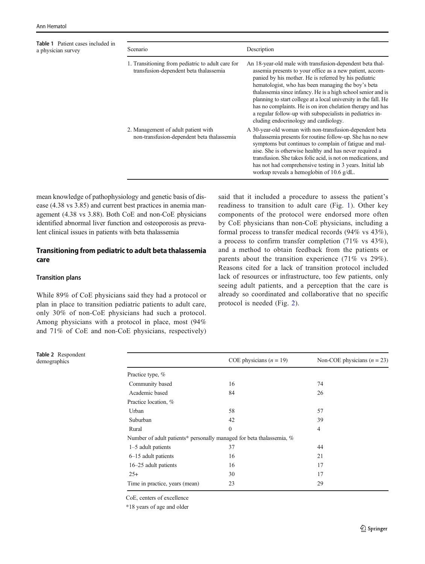<span id="page-2-0"></span>Table 1 Patient cases included in a physician survey

| Scenario                                                                                    | Description                                                                                                                                                                                                                                                                                                                                                                                                                                                                                                                                 |
|---------------------------------------------------------------------------------------------|---------------------------------------------------------------------------------------------------------------------------------------------------------------------------------------------------------------------------------------------------------------------------------------------------------------------------------------------------------------------------------------------------------------------------------------------------------------------------------------------------------------------------------------------|
| 1. Transitioning from pediatric to adult care for<br>transfusion-dependent beta thalassemia | An 18-year-old male with transfusion-dependent beta thal-<br>assemia presents to your office as a new patient, accom-<br>panied by his mother. He is referred by his pediatric<br>hematologist, who has been managing the boy's beta<br>thalassemia since infancy. He is a high school senior and is<br>planning to start college at a local university in the fall. He<br>has no complaints. He is on iron chelation therapy and has<br>a regular follow-up with subspecialists in pediatrics in-<br>cluding endocrinology and cardiology. |
| 2. Management of adult patient with<br>non-transfusion-dependent beta thalassemia           | A 30-year-old woman with non-transfusion-dependent beta<br>thalassemia presents for routine follow-up. She has no new<br>symptoms but continues to complain of fatigue and mal-<br>aise. She is otherwise healthy and has never required a<br>transfusion. She takes folic acid, is not on medications, and<br>has not had comprehensive testing in 3 years. Initial lab<br>workup reveals a hemoglobin of $10.6$ g/dL.                                                                                                                     |

mean knowledge of pathophysiology and genetic basis of disease (4.38 vs 3.85) and current best practices in anemia management (4.38 vs 3.88). Both CoE and non-CoE physicians identified abnormal liver function and osteoporosis as prevalent clinical issues in patients with beta thalassemia

# Transitioning from pediatric to adult beta thalassemia care

## Transition plans

While 89% of CoE physicians said they had a protocol or plan in place to transition pediatric patients to adult care, only 30% of non-CoE physicians had such a protocol. Among physicians with a protocol in place, most (94% and 71% of CoE and non-CoE physicians, respectively)

said that it included a procedure to assess the patient's readiness to transition to adult care (Fig. [1\)](#page-3-0). Other key components of the protocol were endorsed more often by CoE physicians than non-CoE physicians, including a formal process to transfer medical records (94% vs 43%), a process to confirm transfer completion (71% vs 43%), and a method to obtain feedback from the patients or parents about the transition experience (71% vs 29%). Reasons cited for a lack of transition protocol included lack of resources or infrastructure, too few patients, only seeing adult patients, and a perception that the care is already so coordinated and collaborative that no specific protocol is needed (Fig. [2\)](#page-3-0).

| Table 2 Respondent |                                                                      |                           |                               |  |
|--------------------|----------------------------------------------------------------------|---------------------------|-------------------------------|--|
| demographics       |                                                                      | COE physicians $(n = 19)$ | Non-COE physicians $(n = 23)$ |  |
|                    | Practice type, %                                                     |                           |                               |  |
|                    | Community based                                                      | 16                        | 74                            |  |
|                    | Academic based                                                       | 84                        | 26                            |  |
|                    | Practice location, %                                                 |                           |                               |  |
|                    | Urban                                                                | 58                        | 57                            |  |
|                    | Suburban                                                             | 42                        | 39                            |  |
|                    | Rural                                                                | $\mathbf{0}$              | 4                             |  |
|                    | Number of adult patients* personally managed for beta thalassemia, % |                           |                               |  |
|                    | $1-5$ adult patients                                                 | 37                        | 44                            |  |
|                    | 6–15 adult patients                                                  | 16                        | 21                            |  |
|                    | 16–25 adult patients                                                 | 16                        | 17                            |  |
|                    | $25+$                                                                | 30                        | 17                            |  |
|                    | Time in practice, years (mean)                                       | 23                        | 29                            |  |
|                    |                                                                      |                           |                               |  |

CoE, centers of excellence

\*18 years of age and older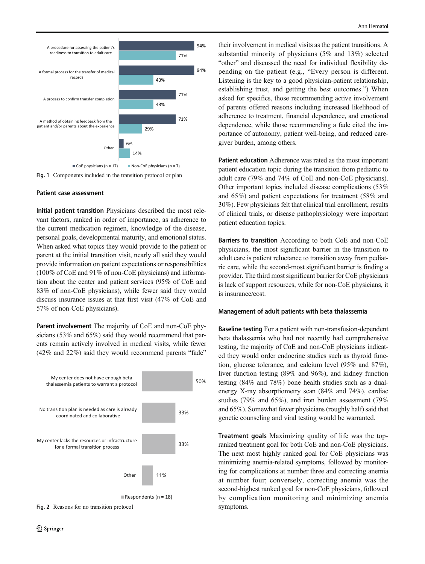<span id="page-3-0"></span>

Fig. 1 Components included in the transition protocol or plan

#### Patient case assessment

Initial patient transition Physicians described the most relevant factors, ranked in order of importance, as adherence to the current medication regimen, knowledge of the disease, personal goals, developmental maturity, and emotional status. When asked what topics they would provide to the patient or parent at the initial transition visit, nearly all said they would provide information on patient expectations or responsibilities (100% of CoE and 91% of non-CoE physicians) and information about the center and patient services (95% of CoE and 83% of non-CoE physicians), while fewer said they would discuss insurance issues at that first visit (47% of CoE and 57% of non-CoE physicians).

Parent involvement The majority of CoE and non-CoE physicians (53% and 65%) said they would recommend that parents remain actively involved in medical visits, while fewer (42% and 22%) said they would recommend parents "fade"



Fig. 2 Reasons for no transition protocol

their involvement in medical visits as the patient transitions. A substantial minority of physicians (5% and 13%) selected "other" and discussed the need for individual flexibility depending on the patient (e.g., "Every person is different. Listening is the key to a good physician-patient relationship, establishing trust, and getting the best outcomes.") When asked for specifics, those recommending active involvement of parents offered reasons including increased likelihood of adherence to treatment, financial dependence, and emotional dependence, while those recommending a fade cited the importance of autonomy, patient well-being, and reduced caregiver burden, among others.

Patient education Adherence was rated as the most important patient education topic during the transition from pediatric to adult care (79% and 74% of CoE and non-CoE physicians). Other important topics included disease complications (53% and 65%) and patient expectations for treatment (58% and 30%). Few physicians felt that clinical trial enrollment, results of clinical trials, or disease pathophysiology were important patient education topics.

Barriers to transition According to both CoE and non-CoE physicians, the most significant barrier in the transition to adult care is patient reluctance to transition away from pediatric care, while the second-most significant barrier is finding a provider. The third most significant barrier for CoE physicians is lack of support resources, while for non-CoE physicians, it is insurance/cost.

#### Management of adult patients with beta thalassemia

Baseline testing For a patient with non-transfusion-dependent beta thalassemia who had not recently had comprehensive testing, the majority of CoE and non-CoE physicians indicated they would order endocrine studies such as thyroid function, glucose tolerance, and calcium level (95% and 87%), liver function testing (89% and 96%), and kidney function testing (84% and 78%) bone health studies such as a dualenergy X-ray absorptiometry scan (84% and 74%), cardiac studies (79% and 65%), and iron burden assessment (79% and 65%). Somewhat fewer physicians (roughly half) said that genetic counseling and viral testing would be warranted.

Treatment goals Maximizing quality of life was the topranked treatment goal for both CoE and non-CoE physicians. The next most highly ranked goal for CoE physicians was minimizing anemia-related symptoms, followed by monitoring for complications at number three and correcting anemia at number four; conversely, correcting anemia was the second-highest ranked goal for non-CoE physicians, followed by complication monitoring and minimizing anemia symptoms.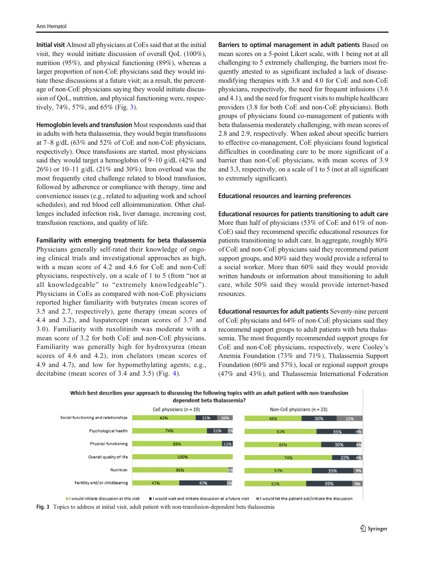Initial visit Almost all physicians at CoEs said that at the initial visit, they would initiate discussion of overall QoL (100%), nutrition (95%), and physical functioning (89%), whereas a larger proportion of non-CoE physicians said they would initiate these discussions at a future visit; as a result, the percentage of non-CoE physicians saying they would initiate discussion of QoL, nutrition, and physical functioning were, respectively, 74%, 57%, and 65% (Fig. 3).

Hemoglobin levels and transfusion Most respondents said that in adults with beta thalassemia, they would begin transfusions at 7–8 g/dL (63% and 52% of CoE and non-CoE physicians, respectively). Once transfusions are started, most physicians said they would target a hemoglobin of 9–10 g/dL (42% and 26%) or 10–11 g/dL (21% and 30%). Iron overload was the most frequently cited challenge related to blood transfusion, followed by adherence or compliance with therapy, time and convenience issues (e.g., related to adjusting work and school schedules), and red blood cell alloimmunization. Other challenges included infection risk, liver damage, increasing cost, transfusion reactions, and quality of life.

## Familiarity with emerging treatments for beta thalassemia

Physicians generally self-rated their knowledge of ongoing clinical trials and investigational approaches as high, with a mean score of 4.2 and 4.6 for CoE and non-CoE physicians, respectively, on a scale of 1 to 5 (from "not at all knowledgeable" to "extremely knowledgeable"). Physicians in CoEs as compared with non-CoE physicians reported higher familiarity with butyrates (mean scores of 3.5 and 2.7, respectively), gene therapy (mean scores of 4.4 and 3.2), and luspatercept (mean scores of 3.7 and 3.0). Familiarity with ruxolitinib was moderate with a mean score of 3.2 for both CoE and non-CoE physicians. Familiarity was generally high for hydroxyurea (mean scores of 4.6 and 4.2), iron chelators (mean scores of 4.9 and 4.7), and low for hypomethylating agents; e.g., decitabine (mean scores of 3.4 and 3.5) (Fig. [4](#page-5-0)).

Barriers to optimal management in adult patients Based on mean scores on a 5-point Likert scale, with 1 being not at all challenging to 5 extremely challenging, the barriers most frequently attested to as significant included a lack of diseasemodifying therapies with 3.8 and 4.0 for CoE and non-CoE physicians, respectively, the need for frequent infusions (3.6 and 4.1), and the need for frequent visits to multiple healthcare providers (3.8 for both CoE and non-CoE physicians). Both groups of physicians found co-management of patients with beta thalassemia moderately challenging, with mean scores of 2.8 and 2.9, respectively. When asked about specific barriers to effective co-management, CoE physicians found logistical difficulties in coordinating care to be more significant of a barrier than non-CoE physicians, with mean scores of 3.9 and 3.3, respectively, on a scale of 1 to 5 (not at all significant to extremely significant).

#### Educational resources and learning preferences

Educational resources for patients transitioning to adult care More than half of physicians (53% of CoE and 61% of non-CoE) said they recommend specific educational resources for patients transitioning to adult care. In aggregate, roughly 80% of CoE and non-CoE physicians said they recommend patient support groups, and 80% said they would provide a referral to a social worker. More than 60% said they would provide written handouts or information about transitioning to adult care, while 50% said they would provide internet-based resources.

Educational resources for adult patients Seventy-nine percent of CoE physicians and 64% of non-CoE physicians said they recommend support groups to adult patients with beta thalassemia. The most frequently recommended support groups for CoE and non-CoE physicians, respectively, were Cooley's Anemia Foundation (73% and 71%), Thalassemia Support Foundation (60% and 57%), local or regional support groups (47% and 43%), and Thalassemia International Federation





Il would initiate discussion at this visit III I would wait and initiate discussion at a future visit III I would let the patient ask/initiate the discussion

Fig. 3 Topics to address at initial visit, adult patient with non-transfusion-dependent beta thalassemia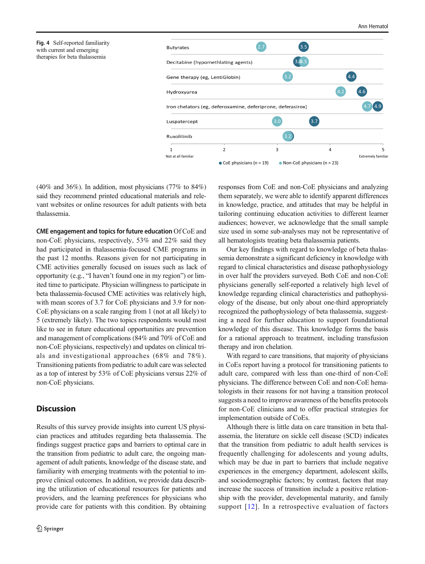<span id="page-5-0"></span>



(40% and 36%). In addition, most physicians (77% to 84%) said they recommend printed educational materials and relevant websites or online resources for adult patients with beta thalassemia.

CME engagement and topics for future education Of CoE and non-CoE physicians, respectively, 53% and 22% said they had participated in thalassemia-focused CME programs in the past 12 months. Reasons given for not participating in CME activities generally focused on issues such as lack of opportunity (e.g., "I haven't found one in my region") or limited time to participate. Physician willingness to participate in beta thalassemia-focused CME activities was relatively high, with mean scores of 3.7 for CoE physicians and 3.9 for non-CoE physicians on a scale ranging from 1 (not at all likely) to 5 (extremely likely). The two topics respondents would most like to see in future educational opportunities are prevention and management of complications (84% and 70% of CoE and non-CoE physicians, respectively) and updates on clinical trials and investigational approaches (68% and 78%). Transitioning patients from pediatric to adult care was selected as a top of interest by 53% of CoE physicians versus 22% of non-CoE physicians.

# **Discussion**

Results of this survey provide insights into current US physician practices and attitudes regarding beta thalassemia. The findings suggest practice gaps and barriers to optimal care in the transition from pediatric to adult care, the ongoing management of adult patients, knowledge of the disease state, and familiarity with emerging treatments with the potential to improve clinical outcomes. In addition, we provide data describing the utilization of educational resources for patients and providers, and the learning preferences for physicians who provide care for patients with this condition. By obtaining responses from CoE and non-CoE physicians and analyzing them separately, we were able to identify apparent differences in knowledge, practice, and attitudes that may be helpful in tailoring continuing education activities to different learner audiences; however, we acknowledge that the small sample size used in some sub-analyses may not be representative of all hematologists treating beta thalassemia patients.

Our key findings with regard to knowledge of beta thalassemia demonstrate a significant deficiency in knowledge with regard to clinical characteristics and disease pathophysiology in over half the providers surveyed. Both CoE and non-CoE physicians generally self-reported a relatively high level of knowledge regarding clinical characteristics and pathophysiology of the disease, but only about one-third appropriately recognized the pathophysiology of beta thalassemia, suggesting a need for further education to support foundational knowledge of this disease. This knowledge forms the basis for a rational approach to treatment, including transfusion therapy and iron chelation.

With regard to care transitions, that majority of physicians in CoEs report having a protocol for transitioning patients to adult care, compared with less than one-third of non-CoE physicians. The difference between CoE and non-CoE hematologists in their reasons for not having a transition protocol suggests a need to improve awareness of the benefits protocols for non-CoE clinicians and to offer practical strategies for implementation outside of CoEs.

Although there is little data on care transition in beta thalassemia, the literature on sickle cell disease (SCD) indicates that the transition from pediatric to adult health services is frequently challenging for adolescents and young adults, which may be due in part to barriers that include negative experiences in the emergency department, adolescent skills, and sociodemographic factors; by contrast, factors that may increase the success of transition include a positive relationship with the provider, developmental maturity, and family support [[12\]](#page-7-0). In a retrospective evaluation of factors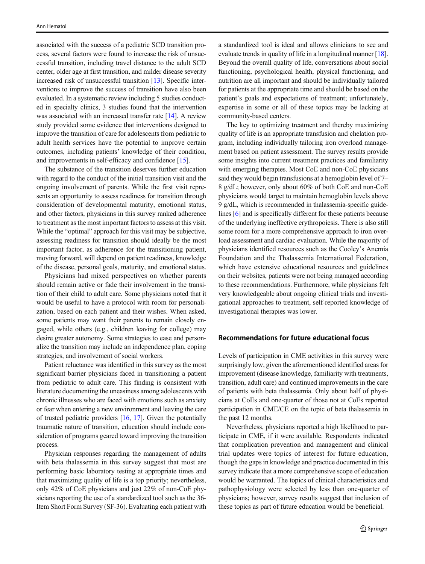associated with the success of a pediatric SCD transition process, several factors were found to increase the risk of unsuccessful transition, including travel distance to the adult SCD center, older age at first transition, and milder disease severity increased risk of unsuccessful transition [\[13\]](#page-8-0). Specific interventions to improve the success of transition have also been evaluated. In a systematic review including 5 studies conducted in specialty clinics, 3 studies found that the intervention was associated with an increased transfer rate [[14\]](#page-8-0). A review study provided some evidence that interventions designed to improve the transition of care for adolescents from pediatric to adult health services have the potential to improve certain outcomes, including patients' knowledge of their condition, and improvements in self-efficacy and confidence [\[15](#page-8-0)].

The substance of the transition deserves further education with regard to the conduct of the initial transition visit and the ongoing involvement of parents. While the first visit represents an opportunity to assess readiness for transition through consideration of developmental maturity, emotional status, and other factors, physicians in this survey ranked adherence to treatment as the most important factors to assess at this visit. While the "optimal" approach for this visit may be subjective, assessing readiness for transition should ideally be the most important factor, as adherence for the transitioning patient, moving forward, will depend on patient readiness, knowledge of the disease, personal goals, maturity, and emotional status.

Physicians had mixed perspectives on whether parents should remain active or fade their involvement in the transition of their child to adult care. Some physicians noted that it would be useful to have a protocol with room for personalization, based on each patient and their wishes. When asked, some patients may want their parents to remain closely engaged, while others (e.g., children leaving for college) may desire greater autonomy. Some strategies to ease and personalize the transition may include an independence plan, coping strategies, and involvement of social workers.

Patient reluctance was identified in this survey as the most significant barrier physicians faced in transitioning a patient from pediatric to adult care. This finding is consistent with literature documenting the uneasiness among adolescents with chronic illnesses who are faced with emotions such as anxiety or fear when entering a new environment and leaving the care of trusted pediatric providers [[16](#page-8-0), [17\]](#page-8-0). Given the potentially traumatic nature of transition, education should include consideration of programs geared toward improving the transition process.

Physician responses regarding the management of adults with beta thalassemia in this survey suggest that most are performing basic laboratory testing at appropriate times and that maximizing quality of life is a top priority; nevertheless, only 42% of CoE physicians and just 22% of non-CoE physicians reporting the use of a standardized tool such as the 36- Item Short Form Survey (SF-36). Evaluating each patient with a standardized tool is ideal and allows clinicians to see and evaluate trends in quality of life in a longitudinal manner [[18\]](#page-8-0). Beyond the overall quality of life, conversations about social functioning, psychological health, physical functioning, and nutrition are all important and should be individually tailored for patients at the appropriate time and should be based on the patient's goals and expectations of treatment; unfortunately, expertise in some or all of these topics may be lacking at community-based centers.

The key to optimizing treatment and thereby maximizing quality of life is an appropriate transfusion and chelation program, including individually tailoring iron overload management based on patient assessment. The survey results provide some insights into current treatment practices and familiarity with emerging therapies. Most CoE and non-CoE physicians said they would begin transfusions at a hemoglobin level of 7– 8 g/dL; however, only about 60% of both CoE and non-CoE physicians would target to maintain hemoglobin levels above 9 g/dL, which is recommended in thalassemia-specific guidelines [[6](#page-7-0)] and is specifically different for these patients because of the underlying ineffective erythropoiesis. There is also still some room for a more comprehensive approach to iron overload assessment and cardiac evaluation. While the majority of physicians identified resources such as the Cooley's Anemia Foundation and the Thalassemia International Federation, which have extensive educational resources and guidelines on their websites, patients were not being managed according to these recommendations. Furthermore, while physicians felt very knowledgeable about ongoing clinical trials and investigational approaches to treatment, self-reported knowledge of investigational therapies was lower.

## Recommendations for future educational focus

Levels of participation in CME activities in this survey were surprisingly low, given the aforementioned identified areas for improvement (disease knowledge, familiarity with treatments, transition, adult care) and continued improvements in the care of patients with beta thalassemia. Only about half of physicians at CoEs and one-quarter of those not at CoEs reported participation in CME/CE on the topic of beta thalassemia in the past 12 months.

Nevertheless, physicians reported a high likelihood to participate in CME, if it were available. Respondents indicated that complication prevention and management and clinical trial updates were topics of interest for future education, though the gaps in knowledge and practice documented in this survey indicate that a more comprehensive scope of education would be warranted. The topics of clinical characteristics and pathophysiology were selected by less than one-quarter of physicians; however, survey results suggest that inclusion of these topics as part of future education would be beneficial.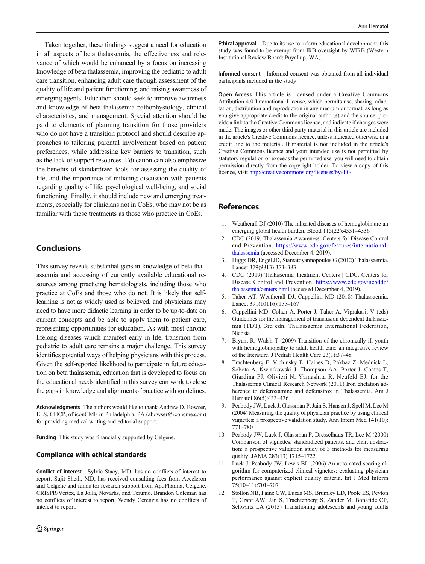<span id="page-7-0"></span>Taken together, these findings suggest a need for education in all aspects of beta thalassemia, the effectiveness and relevance of which would be enhanced by a focus on increasing knowledge of beta thalassemia, improving the pediatric to adult care transition, enhancing adult care through assessment of the quality of life and patient functioning, and raising awareness of emerging agents. Education should seek to improve awareness and knowledge of beta thalassemia pathophysiology, clinical characteristics, and management. Special attention should be paid to elements of planning transition for those providers who do not have a transition protocol and should describe approaches to tailoring parental involvement based on patient preferences, while addressing key barriers to transition, such as the lack of support resources. Education can also emphasize the benefits of standardized tools for assessing the quality of life, and the importance of initiating discussion with patients regarding quality of life, psychological well-being, and social functioning. Finally, it should include new and emerging treatments, especially for clinicians not in CoEs, who may not be as familiar with these treatments as those who practice in CoEs.

# **Conclusions**

This survey reveals substantial gaps in knowledge of beta thalassemia and accessing of currently available educational resources among practicing hematologists, including those who practice at CoEs and those who do not. It is likely that selflearning is not as widely used as believed, and physicians may need to have more didactic learning in order to be up-to-date on current concepts and be able to apply them to patient care, representing opportunities for education. As with most chronic lifelong diseases which manifest early in life, transition from pediatric to adult care remains a major challenge. This survey identifies potential ways of helping physicians with this process. Given the self-reported likelihood to participate in future education on beta thalassemia, education that is developed to focus on the educational needs identified in this survey can work to close the gaps in knowledge and alignment of practice with guidelines.

Acknowledgments The authors would like to thank Andrew D. Bowser, ELS, CHCP, of iconCME in Philadelphia, PA (abowser@iconcme.com) for providing medical writing and editorial support.

Funding This study was financially supported by Celgene.

## Compliance with ethical standards

Conflict of interest Sylvie Stacy, MD, has no conflicts of interest to report. Sujit Sheth, MD, has received consulting fees from Acceleron and Celgene and funds for research support from ApoPharma, Celgene, CRISPR/Vertex, La Jolla, Novartis, and Terumo. Brandon Coleman has no conflicts of interest to report. Wendy Cerenzia has no conflicts of interest to report.

**Ethical approval** Due to its use to inform educational development, this study was found to be exempt from IRB oversight by WIRB (Western Institutional Review Board; Puyallup, WA).

Informed consent Informed consent was obtained from all individual participants included in the study.

Open Access This article is licensed under a Creative Commons Attribution 4.0 International License, which permits use, sharing, adaptation, distribution and reproduction in any medium or format, as long as you give appropriate credit to the original author(s) and the source, provide a link to the Creative Commons licence, and indicate if changes were made. The images or other third party material in this article are included in the article's Creative Commons licence, unless indicated otherwise in a credit line to the material. If material is not included in the article's Creative Commons licence and your intended use is not permitted by statutory regulation or exceeds the permitted use, you will need to obtain permission directly from the copyright holder. To view a copy of this licence, visit [http://creativecommons.org/licenses/by/4.0/](https://doi.org/).

## References

- 1. Weatherall DJ (2010) The inherited diseases of hemoglobin are an emerging global health burden. Blood 115(22):4331–4336
- 2. CDC (2019) Thalassemia Awareness. Centers for Disease Control and Prevention. [https://www.cdc.gov/features/international](https://www.cdc.gov/features/international-halassemia)[thalassemia](https://www.cdc.gov/features/international-halassemia) (accessed December 4, 2019).
- 3. Higgs DR, Engel JD, Stamatoyannopoulos G (2012) Thalassaemia. Lancet 379(9813):373–383
- 4. CDC (2019) Thalassemia Treatment Centers | CDC. Centers for Disease Control and Prevention. [https://www.cdc.gov/ncbddd/](https://www.cdc.gov/ncbddd/thalassemia/centers.html) [thalassemia/centers.html](https://www.cdc.gov/ncbddd/thalassemia/centers.html) (accessed December 4, 2019).
- 5. Taher AT, Weatherall DJ, Cappellini MD (2018) Thalassaemia. Lancet 391(10116):155–167
- 6. Cappellini MD, Cohen A, Porter J, Taher A, Viprakasit V (eds) Guidelines for the management of transfusion dependent thalassaemia (TDT), 3rd edn. Thalassaemia International Federation, Nicosia
- 7. Bryant R, Walsh T (2009) Transition of the chronically ill youth with hemoglobinopathy to adult health care: an integrative review of the literature. J Pediatr Health Care 23(1):37–48
- 8. Trachtenberg F, Vichinsky E, Haines D, Pakbaz Z, Mednick L, Sobota A, Kwiatkowski J, Thompson AA, Porter J, Coates T, Giardina PJ, Olivieri N, Yamashita R, Neufeld EJ, for the Thalassemia Clinical Research Network (2011) Iron chelation adherence to deferoxamine and deferasirox in Thalassemia. Am J Hematol 86(5):433–436
- 9. Peabody JW, Luck J, Glassman P, Jain S, Hansen J, Spell M, Lee M (2004) Measuring the quality of physician practice by using clinical vignettes: a prospective validation study. Ann Intern Med 141(10): 771–780
- 10. Peabody JW, Luck J, Glassman P, Dresselhaus TR, Lee M (2000) Comparison of vignettes, standardized patients, and chart abstraction: a prospective validation study of 3 methods for measuring quality. JAMA 283(13):1715–1722
- 11. Luck J, Peabody JW, Lewis BL (2006) An automated scoring algorithm for computerized clinical vignettes: evaluating physician performance against explicit quality criteria. Int J Med Inform 75(10–11):701–707
- 12. Stollon NB, Paine CW, Lucas MS, Brumley LD, Poole ES, Peyton T, Grant AW, Jan S, Trachtenberg S, Zander M, Bonafide CP, Schwartz LA (2015) Transitioning adolescents and young adults